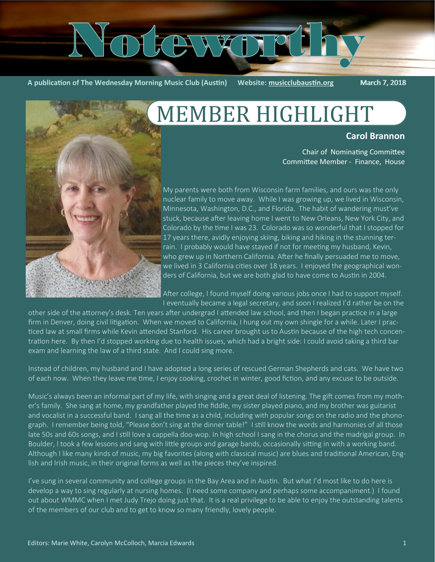# $\sqrt{V}$

**A publication of The Wednesday Morning Music Club (Austin) Website: [musicclubaustin.org](http://musicclubaustin.org/)** March 7, 2018

**Carol Brannon**

# MEMBER HIGHLIGHT





My parents were both from Wisconsin farm families, and ours was the only nuclear family to move away. While I was growing up, we lived in Wisconsin, Minnesota, Washington, D.C., and Florida. The habit of wandering must've stuck, because after leaving home I went to New Orleans, New York City, and Colorado by the time I was 23. Colorado was so wonderful that I stopped for 17 years there, avidly enjoying skiing, biking and hiking in the stunning terrain. I probably would have stayed if not for meeting my husband, Kevin, who grew up in Northern California. After he finally persuaded me to move, we lived in 3 California cities over 18 years. I enjoyed the geographical wonders of California, but we are both glad to have come to Austin in 2004.

After college, I found myself doing various jobs once I had to support myself. I eventually became a legal secretary, and soon I realized I'd rather be on the

other side of the attorney's desk. Ten years after undergrad I attended law school, and then I began practice in a large firm in Denver, doing civil litigation. When we moved to California, I hung out my own shingle for a while. Later I practiced law at small firms while Kevin attended Stanford. His career brought us to Austin because of the high tech concentration here. By then I'd stopped working due to health issues, which had a bright side: I could avoid taking a third bar exam and learning the law of a third state. And I could sing more.

Instead of children, my husband and I have adopted a long series of rescued German Shepherds and cats. We have two of each now. When they leave me time, I enjoy cooking, crochet in winter, good fiction, and any excuse to be outside.

Music's always been an informal part of my life, with singing and a great deal of listening. The gift comes from my mother's family. She sang at home, my grandfather played the fiddle, my sister played piano, and my brother was guitarist and vocalist in a successful band. I sang all the time as a child, including with popular songs on the radio and the phonograph. I remember being told, "Please don't sing at the dinner table!" I still know the words and harmonies of all those late 50s and 60s songs, and I still love a cappella doo-wop. In high school I sang in the chorus and the madrigal group. In Boulder, I took a few lessons and sang with little groups and garage bands, occasionally sitting in with a working band. Although I like many kinds of music, my big favorites (along with classical music) are blues and traditional American, English and Irish music, in their original forms as well as the pieces they've inspired.

I've sung in several community and college groups in the Bay Area and in Austin. But what I'd most like to do here is develop a way to sing regularly at nursing homes. (I need some company and perhaps some accompaniment.) I found out about WMMC when I met Judy Trejo doing just that. It is a real privilege to be able to enjoy the outstanding talents of the members of our club and to get to know so many friendly, lovely people.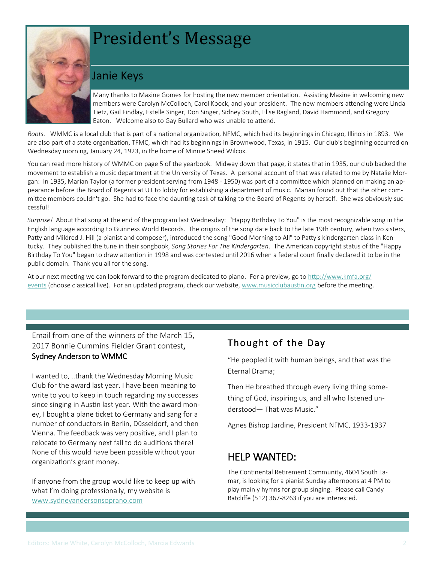# President's Message

# Janie Keys

Many thanks to Maxine Gomes for hosting the new member orientation. Assisting Maxine in welcoming new members were Carolyn McColloch, Carol Koock, and your president. The new members attending were Linda Tietz, Gail Findlay, Estelle Singer, Don Singer, Sidney South, Elise Ragland, David Hammond, and Gregory Eaton. Welcome also to Gay Bullard who was unable to attend.

*Roots.* WMMC is a local club that is part of a national organization, NFMC, which had its beginnings in Chicago, Illinois in 1893. We are also part of a state organization, TFMC, which had its beginnings in Brownwood, Texas, in 1915. Our club's beginning occurred on Wednesday morning, January 24, 1923, in the home of Minnie Sneed Wilcox.

You can read more history of WMMC on page 5 of the yearbook. Midway down that page, it states that in 1935, our club backed the movement to establish a music department at the University of Texas. A personal account of that was related to me by Natalie Morgan: In 1935, Marian Taylor (a former president serving from 1948 - 1950) was part of a committee which planned on making an appearance before the Board of Regents at UT to lobby for establishing a department of music. Marian found out that the other committee members couldn't go. She had to face the daunting task of talking to the Board of Regents by herself. She was obviously successful!

*Surprise!* About that song at the end of the program last Wednesday: "Happy Birthday To You" is the most recognizable song in the English language according to Guinness World Records. The origins of the song date back to the late 19th century, when two sisters, Patty and Mildred J. Hill (a pianist and composer), introduced the song "Good Morning to All" to Patty's kindergarten class in Kentucky. They published the tune in their songbook, *Song Stories For The Kindergarten*. The American copyright status of the "Happy Birthday To You" began to draw attention in 1998 and was contested until 2016 when a federal court finally declared it to be in the public domain. Thank you all for the song.

At our next meeting we can look forward to the program dedicated to piano. For a preview, go to [http://www.kmfa.org/](http://www.kmfa.org/events) [events](http://www.kmfa.org/events) (choose classical live). For an updated program, check our website, [www.musicclubaustin.org](http://www.musicclubaustin.org/) before the meeting.

Email from one of the winners of the March 15, 2017 Bonnie Cummins Fielder Grant contest, Sydney Anderson to WMMC

I wanted to, ..thank the Wednesday Morning Music Club for the award last year. I have been meaning to write to you to keep in touch regarding my successes since singing in Austin last year. With the award money, I bought a plane ticket to Germany and sang for a number of conductors in Berlin, Düsseldorf, and then Vienna. The feedback was very positive, and I plan to relocate to Germany next fall to do auditions there! None of this would have been possible without your organization's grant money.

If anyone from the group would like to keep up with what I'm doing professionally, my website is [www.sydneyandersonsoprano.com](http://www.sydneyandersonsoprano.com)

## Thought of the Day

"He peopled it with human beings, and that was the Eternal Drama;

Then He breathed through every living thing something of God, inspiring us, and all who listened understood— That was Music."

Agnes Bishop Jardine, President NFMC, 1933-1937

## HELP WANTED:

The Continental Retirement Community, 4604 South Lamar, is looking for a pianist Sunday afternoons at 4 PM to play mainly hymns for group singing. Please call Candy Ratcliffe (512) 367-8263 if you are interested.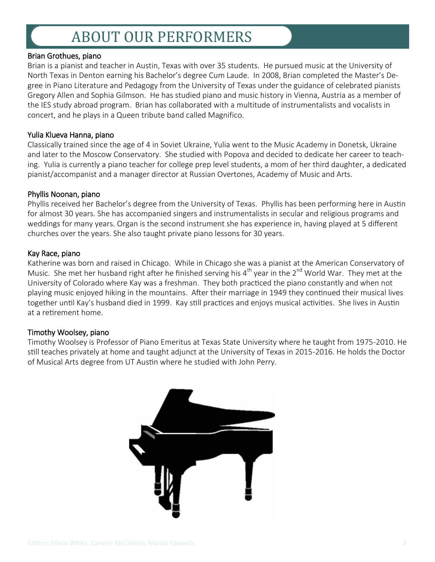# ABOUT OUR PERFORMERS

#### Brian Grothues, piano

Brian is a pianist and teacher in Austin, Texas with over 35 students. He pursued music at the University of North Texas in Denton earning his Bachelor's degree Cum Laude. In 2008, Brian completed the Master's Degree in Piano Literature and Pedagogy from the University of Texas under the guidance of celebrated pianists Gregory Allen and Sophia Gilmson. He has studied piano and music history in Vienna, Austria as a member of the IES study abroad program. Brian has collaborated with a multitude of instrumentalists and vocalists in concert, and he plays in a Queen tribute band called Magnifico.

#### Yulia Klueva Hanna, piano

Classically trained since the age of 4 in Soviet Ukraine, Yulia went to the Music Academy in Donetsk, Ukraine and later to the Moscow Conservatory. She studied with Popova and decided to dedicate her career to teaching. Yulia is currently a piano teacher for college prep level students, a mom of her third daughter, a dedicated pianist/accompanist and a manager director at Russian Overtones, Academy of Music and Arts.

#### Phyllis Noonan, piano

Phyllis received her Bachelor's degree from the University of Texas. Phyllis has been performing here in Austin for almost 30 years. She has accompanied singers and instrumentalists in secular and religious programs and weddings for many years. Organ is the second instrument she has experience in, having played at 5 different churches over the years. She also taught private piano lessons for 30 years.

#### Kay Race, piano

Katherine was born and raised in Chicago. While in Chicago she was a pianist at the American Conservatory of Music. She met her husband right after he finished serving his  $4^{th}$  year in the  $2^{nd}$  World War. They met at the University of Colorado where Kay was a freshman. They both practiced the piano constantly and when not playing music enjoyed hiking in the mountains. After their marriage in 1949 they continued their musical lives together until Kay's husband died in 1999. Kay still practices and enjoys musical activities. She lives in Austin at a retirement home.

#### Timothy Woolsey, piano

Timothy Woolsey is Professor of Piano Emeritus at Texas State University where he taught from 1975-2010. He still teaches privately at home and taught adjunct at the University of Texas in 2015-2016. He holds the Doctor of Musical Arts degree from UT Austin where he studied with John Perry.